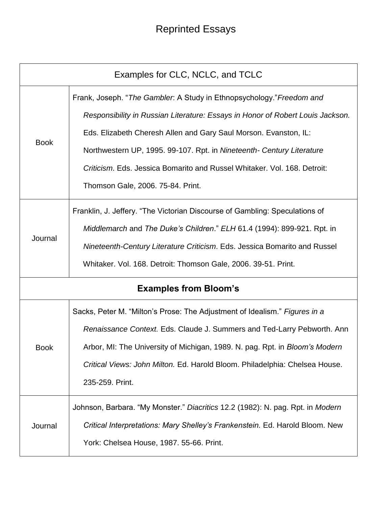## Reprinted Essays

| Examples for CLC, NCLC, and TCLC |                                                                                                                                                                                                                                                                                                                                                                                                                       |  |
|----------------------------------|-----------------------------------------------------------------------------------------------------------------------------------------------------------------------------------------------------------------------------------------------------------------------------------------------------------------------------------------------------------------------------------------------------------------------|--|
| <b>Book</b>                      | Frank, Joseph. "The Gambler. A Study in Ethnopsychology." Freedom and<br>Responsibility in Russian Literature: Essays in Honor of Robert Louis Jackson.<br>Eds. Elizabeth Cheresh Allen and Gary Saul Morson. Evanston, IL:<br>Northwestern UP, 1995. 99-107. Rpt. in Nineteenth- Century Literature<br>Criticism. Eds. Jessica Bomarito and Russel Whitaker. Vol. 168. Detroit:<br>Thomson Gale, 2006. 75-84. Print. |  |
| Journal                          | Franklin, J. Jeffery. "The Victorian Discourse of Gambling: Speculations of<br>Middlemarch and The Duke's Children." ELH 61.4 (1994): 899-921. Rpt. in<br>Nineteenth-Century Literature Criticism. Eds. Jessica Bomarito and Russel<br>Whitaker. Vol. 168. Detroit: Thomson Gale, 2006. 39-51. Print.                                                                                                                 |  |
| <b>Examples from Bloom's</b>     |                                                                                                                                                                                                                                                                                                                                                                                                                       |  |
| <b>Book</b>                      | Sacks, Peter M. "Milton's Prose: The Adjustment of Idealism." Figures in a<br>Renaissance Context. Eds. Claude J. Summers and Ted-Larry Pebworth. Ann<br>Arbor, MI: The University of Michigan, 1989. N. pag. Rpt. in <i>Bloom's Modern</i><br>Critical Views: John Milton. Ed. Harold Bloom. Philadelphia: Chelsea House.<br>235-259. Print.                                                                         |  |
| Journal                          | Johnson, Barbara. "My Monster." Diacritics 12.2 (1982): N. pag. Rpt. in Modern<br>Critical Interpretations: Mary Shelley's Frankenstein. Ed. Harold Bloom. New<br>York: Chelsea House, 1987. 55-66. Print.                                                                                                                                                                                                            |  |